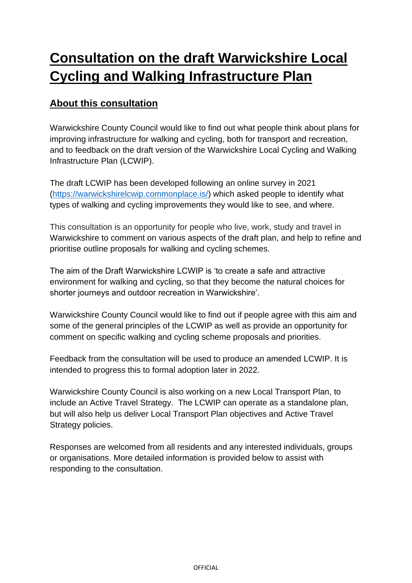# **Consultation on the draft Warwickshire Local Cycling and Walking Infrastructure Plan**

## **About this consultation**

Warwickshire County Council would like to find out what people think about plans for improving infrastructure for walking and cycling, both for transport and recreation, and to feedback on the draft version of the Warwickshire Local Cycling and Walking Infrastructure Plan (LCWIP).

The draft LCWIP has been developed following an online survey in 2021 [\(https://warwickshirelcwip.commonplace.is/\)](https://warwickshirelcwip.commonplace.is/) which asked people to identify what types of walking and cycling improvements they would like to see, and where.

This consultation is an opportunity for people who live, work, study and travel in Warwickshire to comment on various aspects of the draft plan, and help to refine and prioritise outline proposals for walking and cycling schemes.

The aim of the Draft Warwickshire LCWIP is 'to create a safe and attractive environment for walking and cycling, so that they become the natural choices for shorter journeys and outdoor recreation in Warwickshire'.

Warwickshire County Council would like to find out if people agree with this aim and some of the general principles of the LCWIP as well as provide an opportunity for comment on specific walking and cycling scheme proposals and priorities.

Feedback from the consultation will be used to produce an amended LCWIP. It is intended to progress this to formal adoption later in 2022.

Warwickshire County Council is also working on a new Local Transport Plan, to include an Active Travel Strategy. The LCWIP can operate as a standalone plan, but will also help us deliver Local Transport Plan objectives and Active Travel Strategy policies.

Responses are welcomed from all residents and any interested individuals, groups or organisations. More detailed information is provided below to assist with responding to the consultation.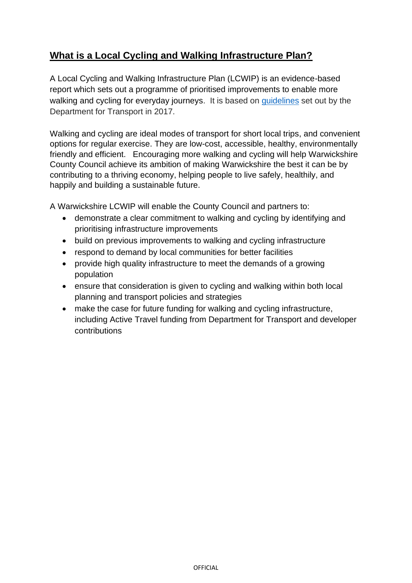## **What is a Local Cycling and Walking Infrastructure Plan?**

A Local Cycling and Walking Infrastructure Plan (LCWIP) is an evidence-based report which sets out a programme of prioritised improvements to enable more walking and cycling for everyday journeys. It is based on [guidelines](https://assets.publishing.service.gov.uk/government/uploads/system/uploads/attachment_data/file/908535/cycling-walking-infrastructure-technical-guidance-document.pdf) set out by the Department for Transport in 2017.

Walking and cycling are ideal modes of transport for short local trips, and convenient options for regular exercise. They are low-cost, accessible, healthy, environmentally friendly and efficient. Encouraging more walking and cycling will help Warwickshire County Council achieve its ambition of making Warwickshire the best it can be by contributing to a thriving economy, helping people to live safely, healthily, and happily and building a sustainable future.

A Warwickshire LCWIP will enable the County Council and partners to:

- demonstrate a clear commitment to walking and cycling by identifying and prioritising infrastructure improvements
- build on previous improvements to walking and cycling infrastructure
- respond to demand by local communities for better facilities
- provide high quality infrastructure to meet the demands of a growing population
- ensure that consideration is given to cycling and walking within both local planning and transport policies and strategies
- make the case for future funding for walking and cycling infrastructure, including Active Travel funding from Department for Transport and developer contributions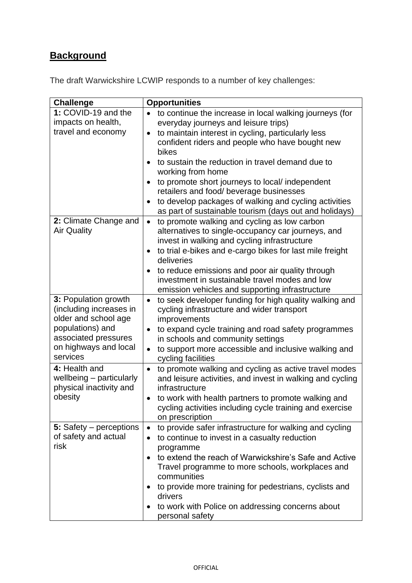## **Background**

The draft Warwickshire LCWIP responds to a number of key challenges:

| <b>Challenge</b>                                                                                                                                         | <b>Opportunities</b>                                                                                                                                                                                                                                                                                                                                                                                                                                                                                                                  |
|----------------------------------------------------------------------------------------------------------------------------------------------------------|---------------------------------------------------------------------------------------------------------------------------------------------------------------------------------------------------------------------------------------------------------------------------------------------------------------------------------------------------------------------------------------------------------------------------------------------------------------------------------------------------------------------------------------|
| 1: COVID-19 and the<br>impacts on health,<br>travel and economy                                                                                          | to continue the increase in local walking journeys (for<br>everyday journeys and leisure trips)<br>to maintain interest in cycling, particularly less<br>$\bullet$<br>confident riders and people who have bought new<br>bikes<br>to sustain the reduction in travel demand due to<br>working from home<br>to promote short journeys to local/ independent<br>retailers and food/ beverage businesses<br>to develop packages of walking and cycling activities<br>$\bullet$<br>as part of sustainable tourism (days out and holidays) |
| 2: Climate Change and<br><b>Air Quality</b>                                                                                                              | to promote walking and cycling as low carbon<br>$\bullet$<br>alternatives to single-occupancy car journeys, and<br>invest in walking and cycling infrastructure<br>to trial e-bikes and e-cargo bikes for last mile freight<br>٠<br>deliveries<br>to reduce emissions and poor air quality through<br>٠<br>investment in sustainable travel modes and low<br>emission vehicles and supporting infrastructure                                                                                                                          |
| 3: Population growth<br>(including increases in<br>older and school age<br>populations) and<br>associated pressures<br>on highways and local<br>services | to seek developer funding for high quality walking and<br>$\bullet$<br>cycling infrastructure and wider transport<br>improvements<br>to expand cycle training and road safety programmes<br>$\bullet$<br>in schools and community settings<br>to support more accessible and inclusive walking and<br>$\bullet$<br>cycling facilities                                                                                                                                                                                                 |
| 4: Health and<br>wellbeing - particularly<br>physical inactivity and<br>obesity                                                                          | to promote walking and cycling as active travel modes<br>$\bullet$<br>and leisure activities, and invest in walking and cycling<br>infrastructure<br>to work with health partners to promote walking and<br>٠<br>cycling activities including cycle training and exercise<br>on prescription                                                                                                                                                                                                                                          |
| 5: Safety – perceptions<br>of safety and actual<br>risk                                                                                                  | to provide safer infrastructure for walking and cycling<br>$\bullet$<br>to continue to invest in a casualty reduction<br>٠<br>programme<br>to extend the reach of Warwickshire's Safe and Active<br>Travel programme to more schools, workplaces and<br>communities<br>to provide more training for pedestrians, cyclists and<br>drivers<br>to work with Police on addressing concerns about<br>personal safety                                                                                                                       |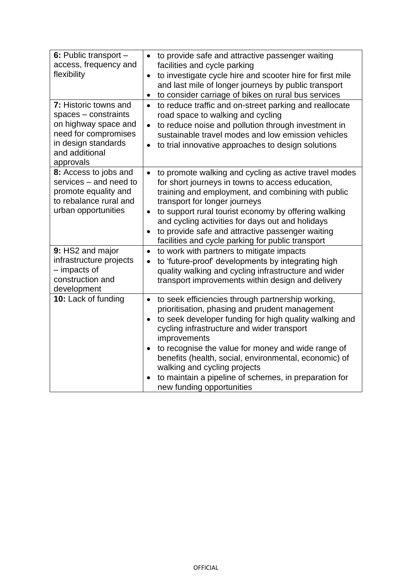| 6: Public transport -<br>access, frequency and<br>flexibility                                                                                         | to provide safe and attractive passenger waiting<br>$\bullet$<br>facilities and cycle parking<br>to investigate cycle hire and scooter hire for first mile<br>$\bullet$<br>and last mile of longer journeys by public transport<br>to consider carriage of bikes on rural bus services<br>$\bullet$                                                                                                                                                                                                     |
|-------------------------------------------------------------------------------------------------------------------------------------------------------|---------------------------------------------------------------------------------------------------------------------------------------------------------------------------------------------------------------------------------------------------------------------------------------------------------------------------------------------------------------------------------------------------------------------------------------------------------------------------------------------------------|
| 7: Historic towns and<br>$spaces - constraints$<br>on highway space and<br>need for compromises<br>in design standards<br>and additional<br>approvals | to reduce traffic and on-street parking and reallocate<br>$\bullet$<br>road space to walking and cycling<br>to reduce noise and pollution through investment in<br>$\bullet$<br>sustainable travel modes and low emission vehicles<br>to trial innovative approaches to design solutions                                                                                                                                                                                                                |
| 8: Access to jobs and<br>services - and need to<br>promote equality and<br>to rebalance rural and<br>urban opportunities                              | to promote walking and cycling as active travel modes<br>$\bullet$<br>for short journeys in towns to access education,<br>training and employment, and combining with public<br>transport for longer journeys<br>to support rural tourist economy by offering walking<br>$\bullet$<br>and cycling activities for days out and holidays<br>to provide safe and attractive passenger waiting<br>facilities and cycle parking for public transport                                                         |
| 9: HS2 and major<br>infrastructure projects<br>- impacts of<br>construction and<br>development                                                        | to work with partners to mitigate impacts<br>$\bullet$<br>to 'future-proof' developments by integrating high<br>$\bullet$<br>quality walking and cycling infrastructure and wider<br>transport improvements within design and delivery                                                                                                                                                                                                                                                                  |
| 10: Lack of funding                                                                                                                                   | to seek efficiencies through partnership working,<br>$\bullet$<br>prioritisation, phasing and prudent management<br>to seek developer funding for high quality walking and<br>cycling infrastructure and wider transport<br>improvements<br>to recognise the value for money and wide range of<br>$\bullet$<br>benefits (health, social, environmental, economic) of<br>walking and cycling projects<br>to maintain a pipeline of schemes, in preparation for<br>$\bullet$<br>new funding opportunities |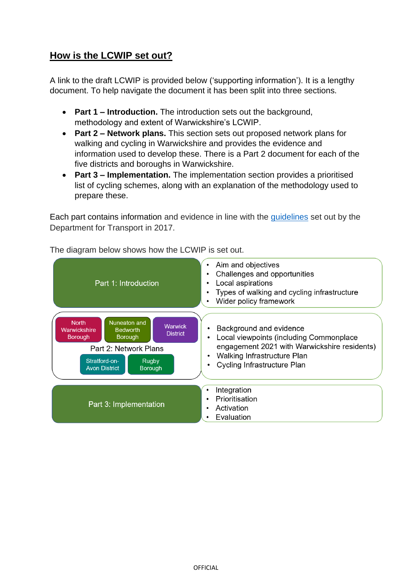## **How is the LCWIP set out?**

A link to the draft LCWIP is provided below ('supporting information'). It is a lengthy document. To help navigate the document it has been split into three sections.

- **Part 1 – Introduction.** The introduction sets out the background, methodology and extent of Warwickshire's LCWIP.
- **Part 2 – Network plans.** This section sets out proposed network plans for walking and cycling in Warwickshire and provides the evidence and information used to develop these. There is a Part 2 document for each of the five districts and boroughs in Warwickshire.
- **Part 3 – Implementation.** The implementation section provides a prioritised list of cycling schemes, along with an explanation of the methodology used to prepare these.

Each part contains information and evidence in line with the [guidelines](https://assets.publishing.service.gov.uk/government/uploads/system/uploads/attachment_data/file/908535/cycling-walking-infrastructure-technical-guidance-document.pdf) set out by the Department for Transport in 2017.



The diagram below shows how the LCWIP is set out.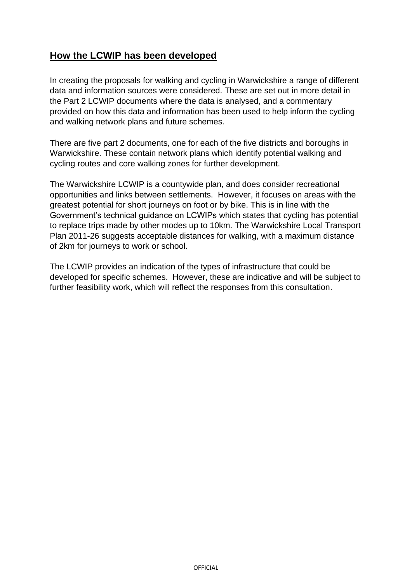## **How the LCWIP has been developed**

In creating the proposals for walking and cycling in Warwickshire a range of different data and information sources were considered. These are set out in more detail in the Part 2 LCWIP documents where the data is analysed, and a commentary provided on how this data and information has been used to help inform the cycling and walking network plans and future schemes.

There are five part 2 documents, one for each of the five districts and boroughs in Warwickshire. These contain network plans which identify potential walking and cycling routes and core walking zones for further development.

The Warwickshire LCWIP is a countywide plan, and does consider recreational opportunities and links between settlements. However, it focuses on areas with the greatest potential for short journeys on foot or by bike. This is in line with the Government's technical guidance on LCWIPs which states that cycling has potential to replace trips made by other modes up to 10km. The Warwickshire Local Transport Plan 2011-26 suggests acceptable distances for walking, with a maximum distance of 2km for journeys to work or school.

The LCWIP provides an indication of the types of infrastructure that could be developed for specific schemes. However, these are indicative and will be subject to further feasibility work, which will reflect the responses from this consultation.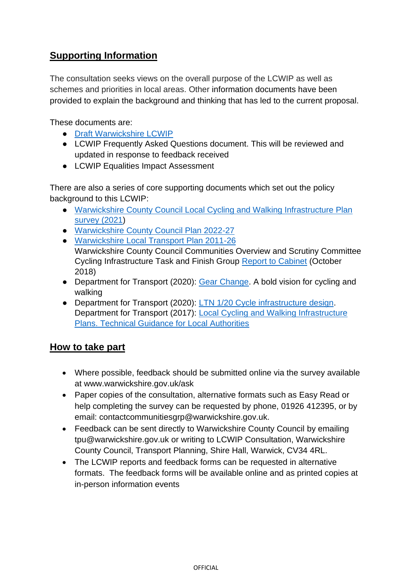## **Supporting Information**

The consultation seeks views on the overall purpose of the LCWIP as well as schemes and priorities in local areas. Other information documents have been provided to explain the background and thinking that has led to the current proposal.

These documents are:

- [Draft Warwickshire LCWIP](https://www.warwickshire.gov.uk/cycling/developing-warwickshires-cycle-network/3)
- LCWIP Frequently Asked Questions document. This will be reviewed and updated in response to feedback received
- LCWIP Equalities Impact Assessment

There are also a series of core supporting documents which set out the policy background to this LCWIP:

- [Warwickshire County Council Local Cycling and Walking Infrastructure Plan](https://warwickshirelcwip.commonplace.is/)  [survey \(2021\)](https://warwickshirelcwip.commonplace.is/)
- [Warwickshire County Council Plan 2022-27](https://api.warwickshire.gov.uk/documents/WCCC-1980322935-2012%20%20https:/www.warwickshire.gov.uk/strategies#:~:text=Council%20Plan%202022%20%2D%202027&text=We%20want%20Warwickshire%20to%20have,%2C%20healthily%2C%20happily%20and%20independently)
- [Warwickshire Local Transport Plan 2011-26](https://www.warwickshire.gov.uk/directory-record/2149/local-transport-plan-2011-2026) Warwickshire County Council Communities Overview and Scrutiny Committee Cycling Infrastructure Task and Finish Group [Report to Cabinet](https://democracy.warwickshire.gov.uk/Data/Cabinet/201810111345/Agenda/YortoO6oZnd3NZcmLnTAPC8aPzG68x.pdf) (October 2018)
- Department for Transport (2020): [Gear Change.](https://assets.publishing.service.gov.uk/government/uploads/system/uploads/attachment_data/file/904146/gear-change-a-bold-vision-for-cycling-and-walking.pdf) A bold vision for cycling and walking
- Department for Transport (2020): [LTN 1/20 Cycle infrastructure design.](https://www.gov.uk/government/publications/cycle-infrastructure-design-ltn-120) Department for Transport (2017): [Local Cycling and Walking Infrastructure](https://assets.publishing.service.gov.uk/government/uploads/system/uploads/attachment_data/file/908535/cycling-walking-infrastructure-technical-guidance-document.pdf)  [Plans. Technical Guidance for Local Authorities](https://assets.publishing.service.gov.uk/government/uploads/system/uploads/attachment_data/file/908535/cycling-walking-infrastructure-technical-guidance-document.pdf)

#### **How to take part**

- Where possible, feedback should be submitted online via the survey available at www.warwickshire.gov.uk/ask
- Paper copies of the consultation, alternative formats such as Easy Read or help completing the survey can be requested by phone, 01926 412395, or by email: contactcommunitiesgrp@warwickshire.gov.uk.
- Feedback can be sent directly to Warwickshire County Council by emailing tpu@warwickshire.gov.uk or writing to LCWIP Consultation, Warwickshire County Council, Transport Planning, Shire Hall, Warwick, CV34 4RL.
- The LCWIP reports and feedback forms can be requested in alternative formats. The feedback forms will be available online and as printed copies at in-person information events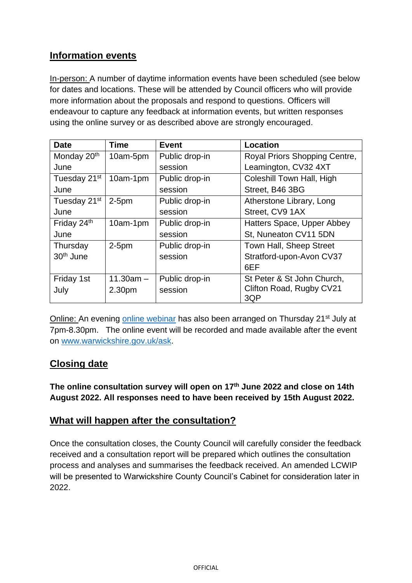## **Information events**

In-person: A number of daytime information events have been scheduled (see below for dates and locations. These will be attended by Council officers who will provide more information about the proposals and respond to questions. Officers will endeavour to capture any feedback at information events, but written responses using the online survey or as described above are strongly encouraged.

| <b>Date</b>              | <b>Time</b>        | <b>Event</b>   | <b>Location</b>                 |
|--------------------------|--------------------|----------------|---------------------------------|
| Monday 20 <sup>th</sup>  | 10am-5pm           | Public drop-in | Royal Priors Shopping Centre,   |
| June                     |                    | session        | Leamington, CV32 4XT            |
| Tuesday 21 <sup>st</sup> | 10am-1pm           | Public drop-in | Coleshill Town Hall, High       |
| June                     |                    | session        | Street, B46 3BG                 |
| Tuesday 21 <sup>st</sup> | $2-5pm$            | Public drop-in | Atherstone Library, Long        |
| June                     |                    | session        | Street, CV9 1AX                 |
| Friday 24th              | 10am-1pm           | Public drop-in | Hatters Space, Upper Abbey      |
| June                     |                    | session        | St, Nuneaton CV11 5DN           |
| Thursday                 | $2-5pm$            | Public drop-in | Town Hall, Sheep Street         |
| 30 <sup>th</sup> June    |                    | session        | Stratford-upon-Avon CV37        |
|                          |                    |                | 6EF                             |
| Friday 1st               | $11.30am -$        | Public drop-in | St Peter & St John Church,      |
| July                     | 2.30 <sub>pm</sub> | session        | Clifton Road, Rugby CV21<br>3QP |
|                          |                    |                |                                 |

Online: An evening [online webinar](https://teams.microsoft.com/l/meetup-join/19%3ameeting_OTQzNzE3ZDUtMmVlNS00OTMzLWFlYzYtN2Y3NTZhNWE2Y2Uz%40thread.v2/0?context=%7b%22Tid%22%3a%2288b0aa06-5927-4bbb-a893-89cc2713ac82%22%2c%22Oid%22%3a%22f16bbb64-ac06-4cde-ab26-39670791e315%22%2c%22IsBroadcastMeeting%22%3atrue%7d&btype=a&role=a) has also been arranged on Thursday 21<sup>st</sup> July at 7pm-8.30pm. The online event will be recorded and made available after the event on [www.warwickshire.gov.uk/ask.](http://www.warwickshire.gov.uk/ask)

#### **Closing date**

**The online consultation survey will open on 17th June 2022 and close on 14th August 2022. All responses need to have been received by 15th August 2022.**

#### **What will happen after the consultation?**

Once the consultation closes, the County Council will carefully consider the feedback received and a consultation report will be prepared which outlines the consultation process and analyses and summarises the feedback received. An amended LCWIP will be presented to Warwickshire County Council's Cabinet for consideration later in 2022.